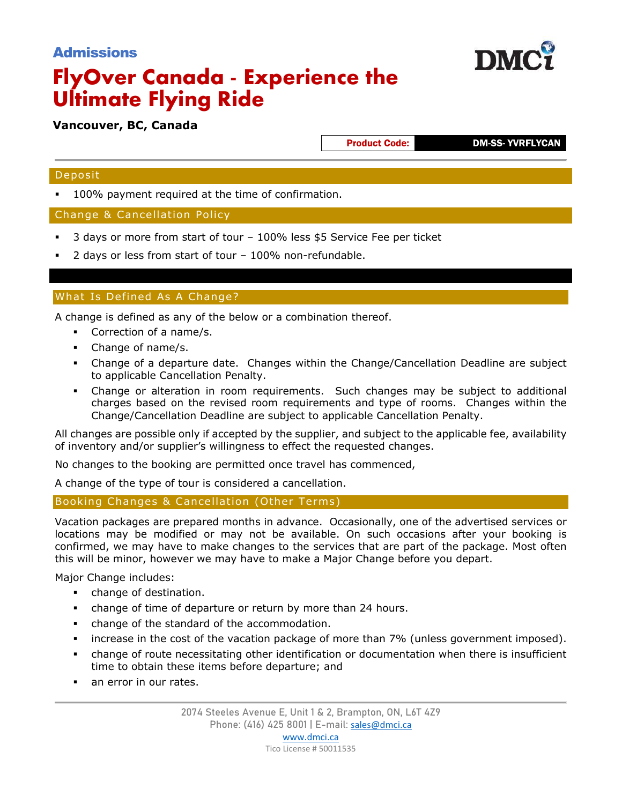## Admissions

# **FlyOver Canada - Experience the Ultimate Flying Ride**

### **Vancouver, BC, Canada**

Product Code: DM-SS- YVRFLYCAN

**DM** 

#### Deposit

100% payment required at the time of confirmation.

#### Change & Cancellation Policy

- 3 days or more from start of tour 100% less \$5 Service Fee per ticket
- 2 days or less from start of tour 100% non-refundable.

#### What Is Defined As A Change?

A change is defined as any of the below or a combination thereof.

- Correction of a name/s.
- Change of name/s.
- Change of a departure date. Changes within the Change/Cancellation Deadline are subject to applicable Cancellation Penalty.
- Change or alteration in room requirements. Such changes may be subject to additional charges based on the revised room requirements and type of rooms. Changes within the Change/Cancellation Deadline are subject to applicable Cancellation Penalty.

All changes are possible only if accepted by the supplier, and subject to the applicable fee, availability of inventory and/or supplier's willingness to effect the requested changes.

No changes to the booking are permitted once travel has commenced,

A change of the type of tour is considered a cancellation.

Booking Changes & Cancellation (Other Terms)

Vacation packages are prepared months in advance. Occasionally, one of the advertised services or locations may be modified or may not be available. On such occasions after your booking is confirmed, we may have to make changes to the services that are part of the package. Most often this will be minor, however we may have to make a Major Change before you depart.

Major Change includes:

- change of destination.
- change of time of departure or return by more than 24 hours.
- change of the standard of the accommodation.
- increase in the cost of the vacation package of more than 7% (unless government imposed).
- change of route necessitating other identification or documentation when there is insufficient time to obtain these items before departure; and
- an error in our rates.

Tico License # 50011535